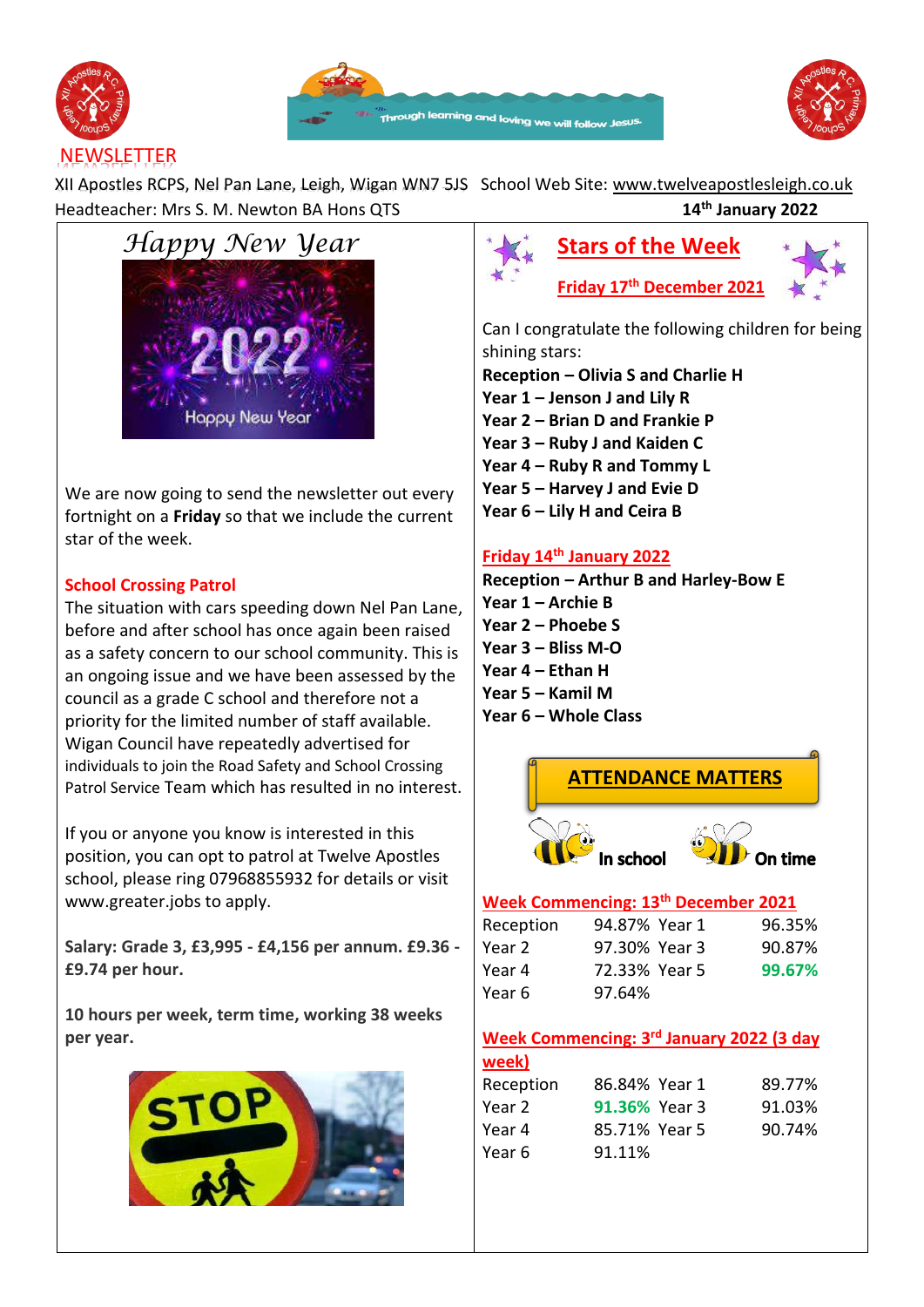





# **NEWSLETTER**

XII Apostles RCPS, Nel Pan Lane, Leigh, Wigan WN7 5JS School Web Site: [www.twelveapostlesleigh.co.uk](http://www.twelveapostlesleigh.co.uk/)  Headteacher: Mrs S. M. Newton BA Hons QTS **14th January 2022**



We are now going to send the newsletter out every fortnight on a **Friday** so that we include the current star of the week.

#### **School Crossing Patrol**

The situation with cars speeding down Nel Pan Lane, before and after school has once again been raised as a safety concern to our school community. This is an ongoing issue and we have been assessed by the council as a grade C school and therefore not a priority for the limited number of staff available. Wigan Council have repeatedly advertised for individuals to join the Road Safety and School Crossing Patrol Service Team which has resulted in no interest.

If you or anyone you know is interested in this position, you can opt to patrol at Twelve Apostles school, please ring 07968855932 for details or visit www.greater.jobs to apply.

**Salary: Grade 3, £3,995 - £4,156 per annum. £9.36 - £9.74 per hour.**

**10 hours per week, term time, working 38 weeks per year.**





Can I congratulate the following children for being shining stars:

- **Reception – Olivia S and Charlie H**
- **Year 1 – Jenson J and Lily R Year 2 – Brian D and Frankie P**
- **Year 3 – Ruby J and Kaiden C**
- 
- **Year 4 – Ruby R and Tommy L Year 5 – Harvey J and Evie D**
- **Year 6 – Lily H and Ceira B**

## **Friday 14th January 2022**

**Reception – Arthur B and Harley-Bow E Year 1 – Archie B Year 2 – Phoebe S Year 3 – Bliss M-O Year 4 – Ethan H Year 5 – Kamil M Year 6 – Whole Class**



## Reception 94.87% Year 1 96.35% Year 2 97.30% Year 3 90.87% Year 4 72.33% Year 5 **99.67%** Year 6 97.64%

# **Week Commencing: 3 rd January 2022 (3 day**

| 86.84% Year 1 | 89.77% |
|---------------|--------|
| 91.36% Year 3 | 91.03% |
| 85.71% Year 5 | 90.74% |
| 91.11%        |        |
|               |        |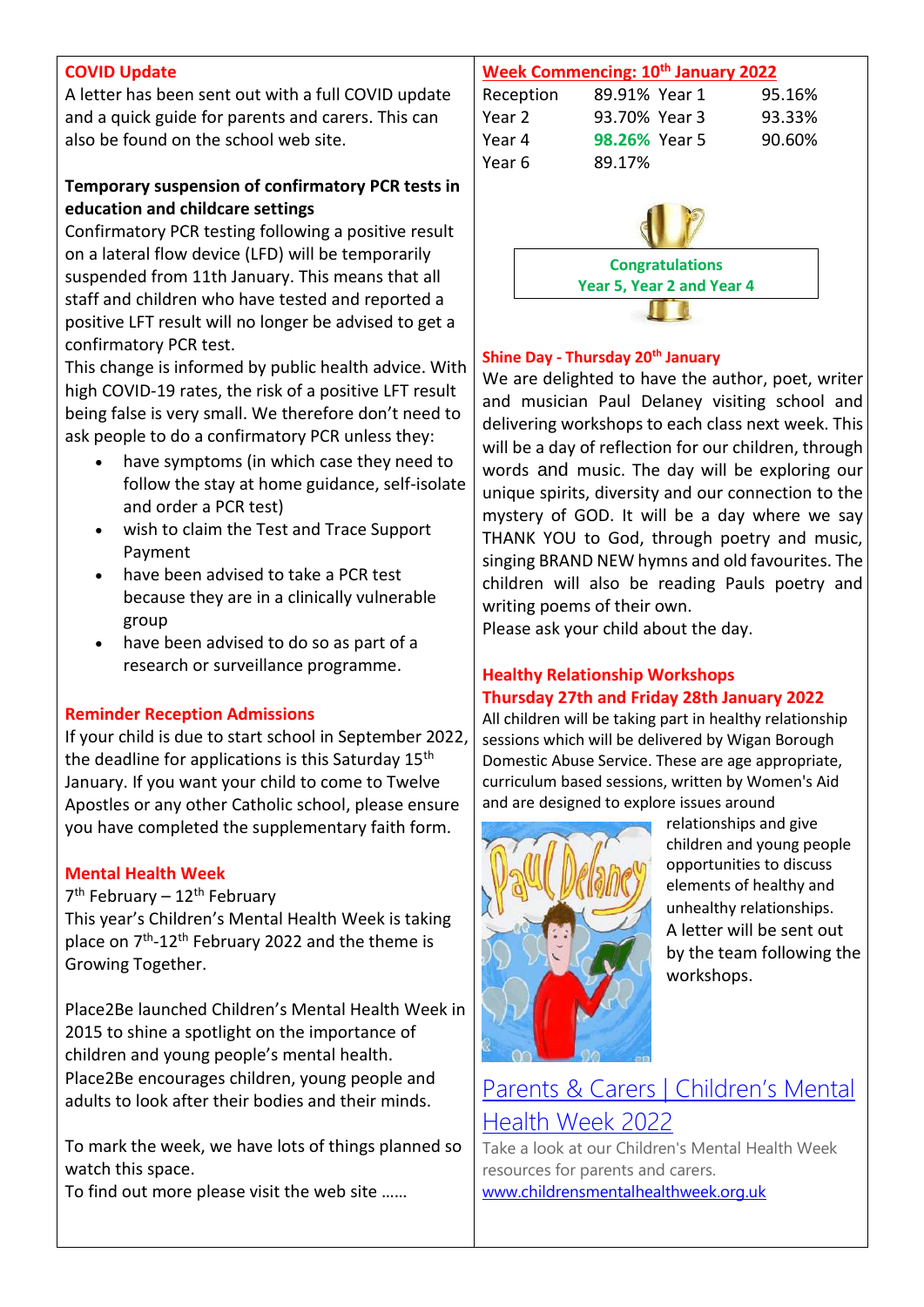#### **COVID Update**

A letter has been sent out with a full COVID update and a quick guide for parents and carers. This can also be found on the school web site.

#### **Temporary suspension of confirmatory PCR tests in education and childcare settings**

Confirmatory PCR testing following a positive result on a lateral flow device (LFD) will be temporarily suspended from 11th January. This means that all staff and children who have tested and reported a positive LFT result will no longer be advised to get a confirmatory PCR test.

This change is informed by public health advice. With high COVID-19 rates, the risk of a positive LFT result being false is very small. We therefore don't need to ask people to do a confirmatory PCR unless they:

- have symptoms (in which case they need to follow the stay at home guidance, self-isolate and order a PCR test)
- wish to claim the Test and Trace Support Payment
- have been advised to take a PCR test because they are in a clinically vulnerable group
- have been advised to do so as part of a research or surveillance programme.

#### **Reminder Reception Admissions**

If your child is due to start school in September 2022, the deadline for applications is this Saturday 15<sup>th</sup> January. If you want your child to come to Twelve Apostles or any other Catholic school, please ensure you have completed the supplementary faith form.

#### **Mental Health Week**

7<sup>th</sup> February – 12<sup>th</sup> February This year's Children's Mental Health Week is taking place on 7<sup>th</sup>-12<sup>th</sup> February 2022 and the theme is Growing Together.

Place2Be launched Children's Mental Health Week in 2015 to shine a spotlight on the importance of children and young people's mental health. Place2Be encourages children, young people and adults to look after their bodies and their minds.

To mark the week, we have lots of things planned so watch this space.

To find out more please visit the web site ……

#### **Week Commencing: 10th January 2022**

| Reception | 89.91% Year 1        | 95.16% |
|-----------|----------------------|--------|
| Year 2    | 93.70% Year 3        | 93.33% |
| Year 4    | <b>98.26% Year 5</b> | 90.60% |
| Year 6    | 89.17%               |        |
|           |                      |        |



#### **Shine Day - Thursday 20th January**

We are delighted to have the author, poet, writer and musician Paul Delaney visiting school and delivering workshops to each class next week. This will be a day of reflection for our children, through words and music. The day will be exploring our unique spirits, diversity and our connection to the mystery of GOD. It will be a day where we say THANK YOU to God, through poetry and music, singing BRAND NEW hymns and old favourites. The children will also be reading Pauls poetry and writing poems of their own.

Please ask your child about the day.

## **Healthy Relationship Workshops Thursday 27th and Friday 28th January 2022**

All children will be taking part in healthy relationship sessions which will be delivered by Wigan Borough Domestic Abuse Service. These are age appropriate, curriculum based sessions, written by Women's Aid and are designed to explore issues around



relationships and give children and young people opportunities to discuss elements of healthy and unhealthy relationships. A letter will be sent out by the team following the workshops.

# [Parents & Carers |](https://www.childrensmentalhealthweek.org.uk/parents) Children's Mental [Health Week 2022](https://www.childrensmentalhealthweek.org.uk/parents)

Take a look at our Children's Mental Health Week resources for parents and carers. [www.childrensmentalhealthweek.org.uk](http://www.childrensmentalhealthweek.org.uk/)